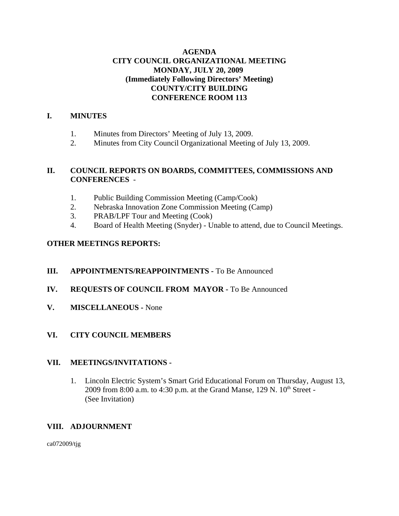## **AGENDA CITY COUNCIL ORGANIZATIONAL MEETING MONDAY, JULY 20, 2009 (Immediately Following Directors' Meeting) COUNTY/CITY BUILDING CONFERENCE ROOM 113**

## **I. MINUTES**

- 1. Minutes from Directors' Meeting of July 13, 2009.
- 2. Minutes from City Council Organizational Meeting of July 13, 2009.

## **II. COUNCIL REPORTS ON BOARDS, COMMITTEES, COMMISSIONS AND CONFERENCES** -

- 1. Public Building Commission Meeting (Camp/Cook)
- 2. Nebraska Innovation Zone Commission Meeting (Camp)
- 3. PRAB/LPF Tour and Meeting (Cook)
- 4. Board of Health Meeting (Snyder) Unable to attend, due to Council Meetings.

# **OTHER MEETINGS REPORTS:**

- **III. APPOINTMENTS/REAPPOINTMENTS -** To Be Announced
- **IV. REQUESTS OF COUNCIL FROM MAYOR -** To Be Announced
- **V. MISCELLANEOUS -** None

# **VI. CITY COUNCIL MEMBERS**

## **VII. MEETINGS/INVITATIONS -**

1. Lincoln Electric System's Smart Grid Educational Forum on Thursday, August 13, 2009 from 8:00 a.m. to 4:30 p.m. at the Grand Manse,  $129$  N.  $10<sup>th</sup>$  Street -(See Invitation)

## **VIII. ADJOURNMENT**

ca072009/tjg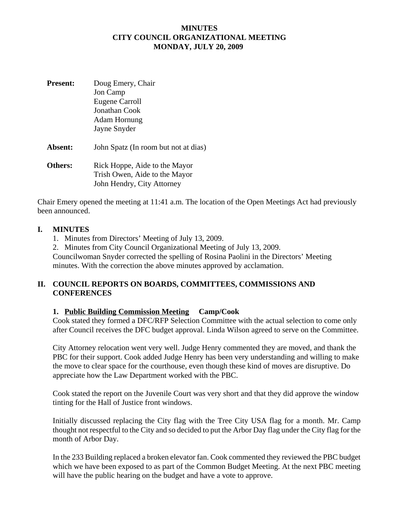#### **MINUTES CITY COUNCIL ORGANIZATIONAL MEETING MONDAY, JULY 20, 2009**

**Present:** Doug Emery, Chair Jon Camp Eugene Carroll Jonathan Cook Adam Hornung Jayne Snyder **Absent:** John Spatz (In room but not at dias) **Others:** Rick Hoppe, Aide to the Mayor Trish Owen, Aide to the Mayor John Hendry, City Attorney

Chair Emery opened the meeting at 11:41 a.m. The location of the Open Meetings Act had previously been announced.

#### **I. MINUTES**

- 1. Minutes from Directors' Meeting of July 13, 2009.
- 2. Minutes from City Council Organizational Meeting of July 13, 2009.

Councilwoman Snyder corrected the spelling of Rosina Paolini in the Directors' Meeting minutes. With the correction the above minutes approved by acclamation.

#### **II. COUNCIL REPORTS ON BOARDS, COMMITTEES, COMMISSIONS AND CONFERENCES**

## **1. Public Building Commission Meeting Camp/Cook**

Cook stated they formed a DFC/RFP Selection Committee with the actual selection to come only after Council receives the DFC budget approval. Linda Wilson agreed to serve on the Committee.

City Attorney relocation went very well. Judge Henry commented they are moved, and thank the PBC for their support. Cook added Judge Henry has been very understanding and willing to make the move to clear space for the courthouse, even though these kind of moves are disruptive. Do appreciate how the Law Department worked with the PBC.

Cook stated the report on the Juvenile Court was very short and that they did approve the window tinting for the Hall of Justice front windows.

Initially discussed replacing the City flag with the Tree City USA flag for a month. Mr. Camp thought not respectful to the City and so decided to put the Arbor Day flag under the City flag for the month of Arbor Day.

In the 233 Building replaced a broken elevator fan. Cook commented they reviewed the PBC budget which we have been exposed to as part of the Common Budget Meeting. At the next PBC meeting will have the public hearing on the budget and have a vote to approve.